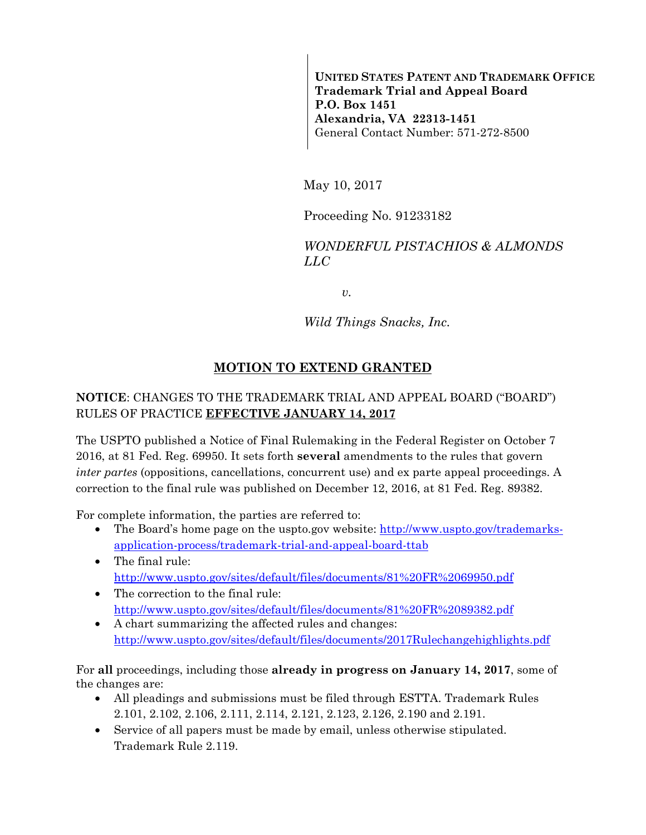**UNITED STATES PATENT AND TRADEMARK OFFICE Trademark Trial and Appeal Board P.O. Box 1451 Alexandria, VA 22313-1451**  General Contact Number: 571-272-8500

May 10, 2017

Proceeding No. 91233182

*WONDERFUL PISTACHIOS & ALMONDS LLC* 

*v.* 

*Wild Things Snacks, Inc.* 

## **MOTION TO EXTEND GRANTED**

## **NOTICE**: CHANGES TO THE TRADEMARK TRIAL AND APPEAL BOARD ("BOARD") RULES OF PRACTICE **EFFECTIVE JANUARY 14, 2017**

The USPTO published a Notice of Final Rulemaking in the Federal Register on October 7 2016, at 81 Fed. Reg. 69950. It sets forth **several** amendments to the rules that govern *inter partes* (oppositions, cancellations, concurrent use) and ex parte appeal proceedings. A correction to the final rule was published on December 12, 2016, at 81 Fed. Reg. 89382.

For complete information, the parties are referred to:

- The Board's home page on the uspto.gov website: http://www.uspto.gov/trademarksapplication-process/trademark-trial-and-appeal-board-ttab
- The final rule: http://www.uspto.gov/sites/default/files/documents/81%20FR%2069950.pdf
- The correction to the final rule: http://www.uspto.gov/sites/default/files/documents/81%20FR%2089382.pdf
- A chart summarizing the affected rules and changes: http://www.uspto.gov/sites/default/files/documents/2017Rulechangehighlights.pdf

For **all** proceedings, including those **already in progress on January 14, 2017**, some of the changes are:

- All pleadings and submissions must be filed through ESTTA. Trademark Rules 2.101, 2.102, 2.106, 2.111, 2.114, 2.121, 2.123, 2.126, 2.190 and 2.191.
- Service of all papers must be made by email, unless otherwise stipulated. Trademark Rule 2.119.